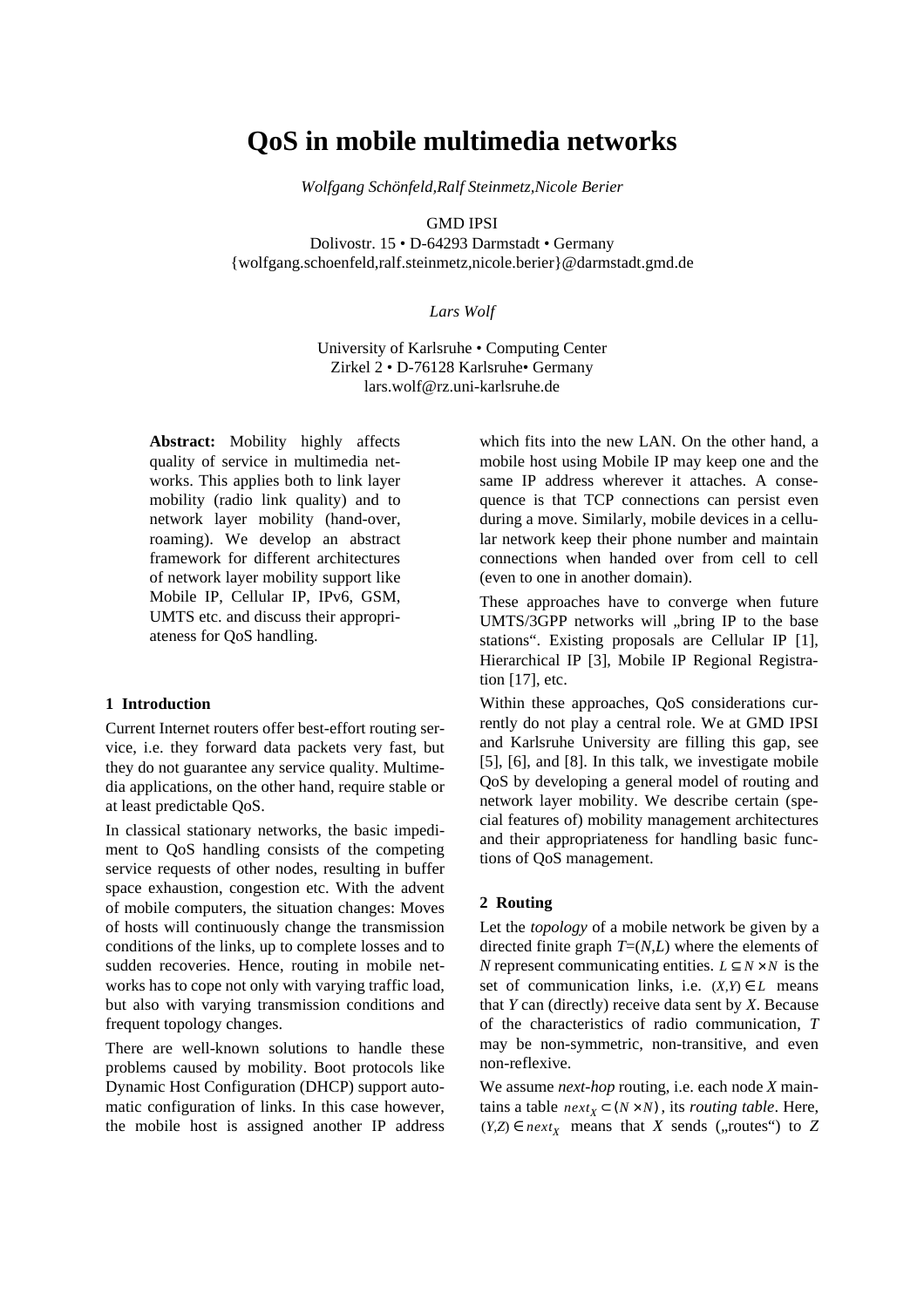# **QoS in mobile multimedia networks**

*Wolfgang Schönfeld,Ralf Steinmetz,Nicole Berier*

GMD IPSI

Dolivostr. 15 • D-64293 Darmstadt • Germany {wolfgang.schoenfeld,ralf.steinmetz,nicole.berier}@darmstadt.gmd.de

*Lars Wolf*

University of Karlsruhe • Computing Center Zirkel 2 • D-76128 Karlsruhe• Germany lars.wolf@rz.uni-karlsruhe.de

**Abstract:** Mobility highly affects quality of service in multimedia networks. This applies both to link layer mobility (radio link quality) and to network layer mobility (hand-over, roaming). We develop an abstract framework for different architectures of network layer mobility support like Mobile IP, Cellular IP, IPv6, GSM, UMTS etc. and discuss their appropriateness for QoS handling.

## **1 Introduction**

Current Internet routers offer best-effort routing service, i.e. they forward data packets very fast, but they do not guarantee any service quality. Multimedia applications, on the other hand, require stable or at least predictable QoS.

In classical stationary networks, the basic impediment to QoS handling consists of the competing service requests of other nodes, resulting in buffer space exhaustion, congestion etc. With the advent of mobile computers, the situation changes: Moves of hosts will continuously change the transmission conditions of the links, up to complete losses and to sudden recoveries. Hence, routing in mobile networks has to cope not only with varying traffic load, but also with varying transmission conditions and frequent topology changes.

There are well-known solutions to handle these problems caused by mobility. Boot protocols like Dynamic Host Configuration (DHCP) support automatic configuration of links. In this case however, the mobile host is assigned another IP address which fits into the new LAN. On the other hand, a mobile host using Mobile IP may keep one and the same IP address wherever it attaches. A consequence is that TCP connections can persist even during a move. Similarly, mobile devices in a cellular network keep their phone number and maintain connections when handed over from cell to cell (even to one in another domain).

These approaches have to converge when future UMTS/3GPP networks will "bring IP to the base stations". Existing proposals are Cellular IP [1], Hierarchical IP [3], Mobile IP Regional Registration [17], etc.

Within these approaches, QoS considerations currently do not play a central role. We at GMD IPSI and Karlsruhe University are filling this gap, see [5], [6], and [8]. In this talk, we investigate mobile QoS by developing a general model of routing and network layer mobility. We describe certain (special features of) mobility management architectures and their appropriateness for handling basic functions of QoS management.

## **2 Routing**

Let the *topology* of a mobile network be given by a directed finite graph *T*=(*N*,*L*) where the elements of *N* represent communicating entities.  $L \subseteq N \times N$  is the set of communication links, i.e.  $(X,Y) \in L$  means that *Y* can (directly) receive data sent by *X*. Because of the characteristics of radio communication, *T* may be non-symmetric, non-transitive, and even non-reflexive.

We assume *next-hop* routing, i.e. each node *X* maintains a table  $next_X \subset (N \times N)$ , its *routing table*. Here,  $(Y,Z) \in next_X$  means that *X* sends ("routes") to *Z*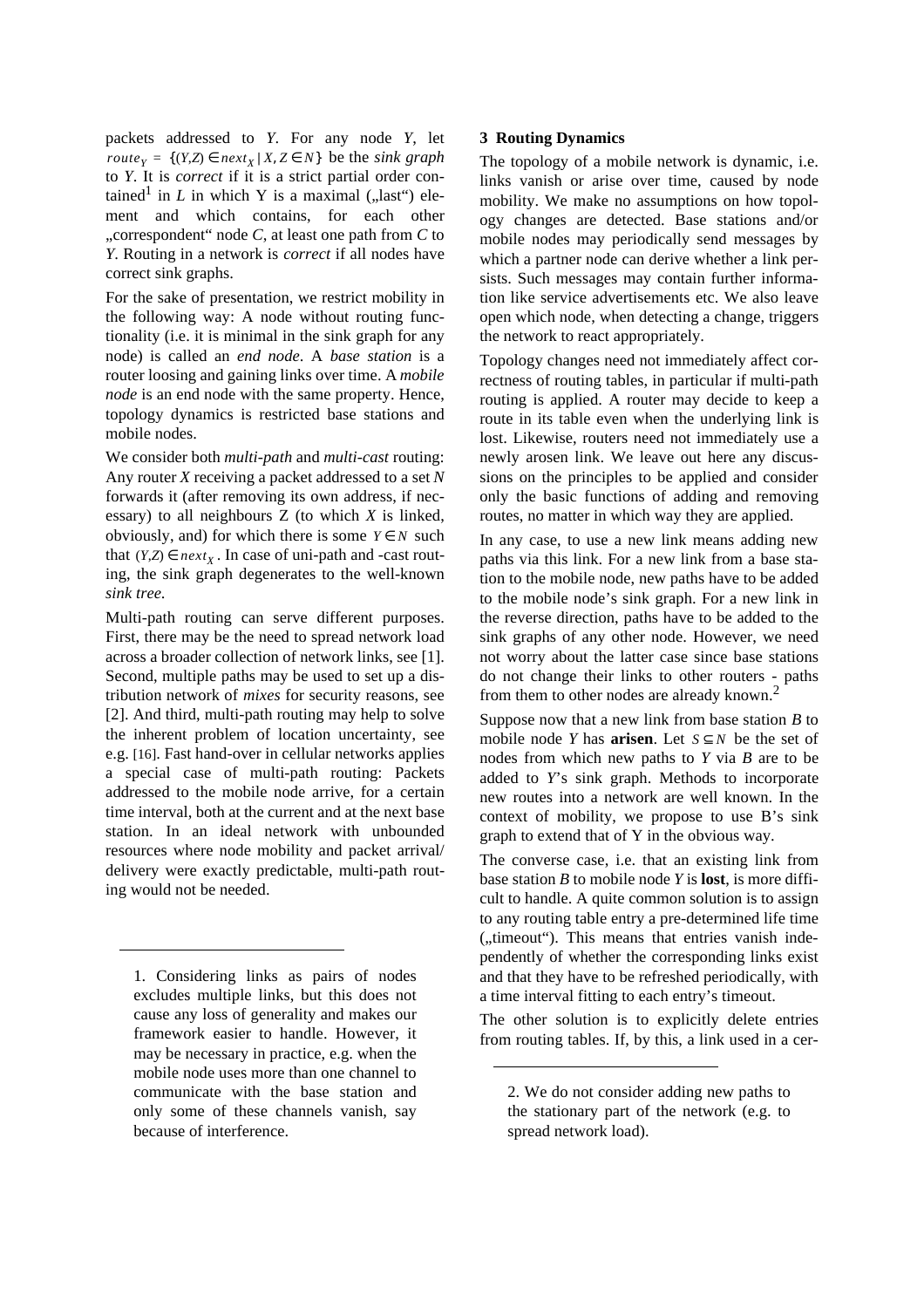packets addressed to *Y*. For any node *Y*, let  $\text{row}(P_Y) = \{(Y, Z) \in \text{next}_X \mid X, Z \in N\}$  be the sink graph to *Y*. It is *correct* if it is a strict partial order contained<sup>1</sup> in *L* in which Y is a maximal (,,last") element and which contains, for each other ...correspondent" node *C*, at least one path from *C* to *Y*. Routing in a network is *correct* if all nodes have correct sink graphs.

For the sake of presentation, we restrict mobility in the following way: A node without routing functionality (i.e. it is minimal in the sink graph for any node) is called an *end node*. A *base station* is a router loosing and gaining links over time. A *mobile node* is an end node with the same property. Hence, topology dynamics is restricted base stations and mobile nodes.

We consider both *multi-path* and *multi-cast* routing: Any router *X* receiving a packet addressed to a set *N* forwards it (after removing its own address, if necessary) to all neighbours Z (to which *X* is linked, obviously, and) for which there is some  $Y \in N$  such that  $(Y,Z) \in next_X$ . In case of uni-path and -cast routing, the sink graph degenerates to the well-known *sink tree*.

Multi-path routing can serve different purposes. First, there may be the need to spread network load across a broader collection of network links, see [1]. Second, multiple paths may be used to set up a distribution network of *mixes* for security reasons, see [2]. And third, multi-path routing may help to solve the inherent problem of location uncertainty, see e.g. [16]. Fast hand-over in cellular networks applies a special case of multi-path routing: Packets addressed to the mobile node arrive, for a certain time interval, both at the current and at the next base station. In an ideal network with unbounded resources where node mobility and packet arrival/ delivery were exactly predictable, multi-path routing would not be needed.

## **3 Routing Dynamics**

The topology of a mobile network is dynamic, i.e. links vanish or arise over time, caused by node mobility. We make no assumptions on how topology changes are detected. Base stations and/or mobile nodes may periodically send messages by which a partner node can derive whether a link persists. Such messages may contain further information like service advertisements etc. We also leave open which node, when detecting a change, triggers the network to react appropriately.

Topology changes need not immediately affect correctness of routing tables, in particular if multi-path routing is applied. A router may decide to keep a route in its table even when the underlying link is lost. Likewise, routers need not immediately use a newly arosen link. We leave out here any discussions on the principles to be applied and consider only the basic functions of adding and removing routes, no matter in which way they are applied.

In any case, to use a new link means adding new paths via this link. For a new link from a base station to the mobile node, new paths have to be added to the mobile node's sink graph. For a new link in the reverse direction, paths have to be added to the sink graphs of any other node. However, we need not worry about the latter case since base stations do not change their links to other routers - paths from them to other nodes are already known.<sup>2</sup>

Suppose now that a new link from base station *B* to mobile node *Y* has **arisen**. Let  $S \subseteq N$  be the set of nodes from which new paths to *Y* via *B* are to be added to *Y*'s sink graph. Methods to incorporate new routes into a network are well known. In the context of mobility, we propose to use B's sink graph to extend that of Y in the obvious way.

The converse case, i.e. that an existing link from base station *B* to mobile node *Y* is **lost**, is more difficult to handle. A quite common solution is to assign to any routing table entry a pre-determined life time ("timeout"). This means that entries vanish independently of whether the corresponding links exist and that they have to be refreshed periodically, with a time interval fitting to each entry's timeout.

The other solution is to explicitly delete entries from routing tables. If, by this, a link used in a cer-

<sup>1.</sup> Considering links as pairs of nodes excludes multiple links, but this does not cause any loss of generality and makes our framework easier to handle. However, it may be necessary in practice, e.g. when the mobile node uses more than one channel to communicate with the base station and only some of these channels vanish, say because of interference.

<sup>2.</sup> We do not consider adding new paths to the stationary part of the network (e.g. to spread network load).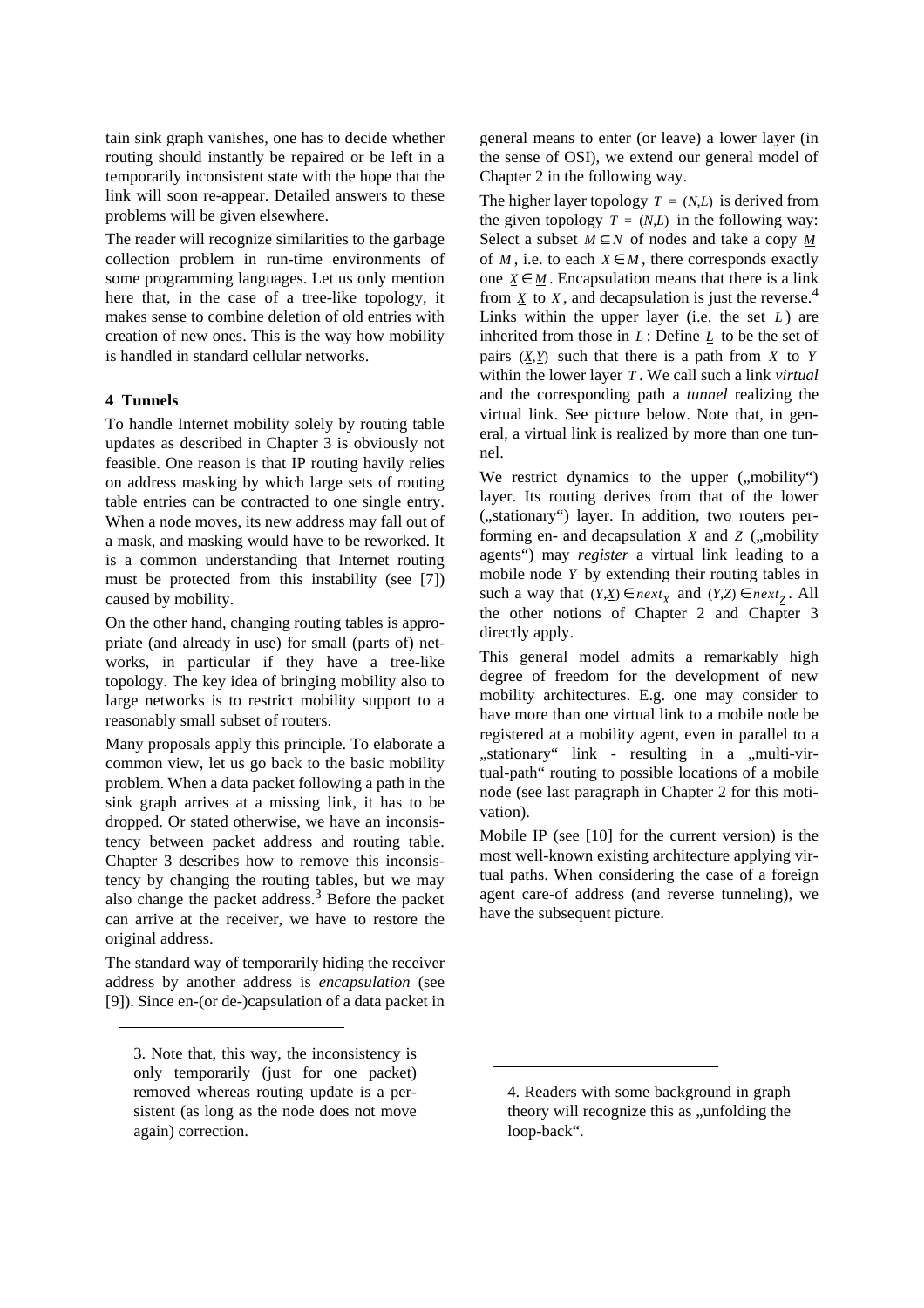tain sink graph vanishes, one has to decide whether routing should instantly be repaired or be left in a temporarily inconsistent state with the hope that the link will soon re-appear. Detailed answers to these problems will be given elsewhere.

The reader will recognize similarities to the garbage collection problem in run-time environments of some programming languages. Let us only mention here that, in the case of a tree-like topology, it makes sense to combine deletion of old entries with creation of new ones. This is the way how mobility is handled in standard cellular networks.

## **4 Tunnels**

To handle Internet mobility solely by routing table updates as described in Chapter 3 is obviously not feasible. One reason is that IP routing havily relies on address masking by which large sets of routing table entries can be contracted to one single entry. When a node moves, its new address may fall out of a mask, and masking would have to be reworked. It is a common understanding that Internet routing must be protected from this instability (see [7]) caused by mobility.

On the other hand, changing routing tables is appropriate (and already in use) for small (parts of) networks, in particular if they have a tree-like topology. The key idea of bringing mobility also to large networks is to restrict mobility support to a reasonably small subset of routers.

Many proposals apply this principle. To elaborate a common view, let us go back to the basic mobility problem. When a data packet following a path in the sink graph arrives at a missing link, it has to be dropped. Or stated otherwise, we have an inconsistency between packet address and routing table. Chapter 3 describes how to remove this inconsistency by changing the routing tables, but we may also change the packet address.<sup>3</sup> Before the packet can arrive at the receiver, we have to restore the original address.

The standard way of temporarily hiding the receiver address by another address is *encapsulation* (see [9]). Since en-(or de-)capsulation of a data packet in general means to enter (or leave) a lower layer (in the sense of OSI), we extend our general model of Chapter 2 in the following way.

The higher layer topology  $\underline{T} = (\underline{N}, \underline{L})$  is derived from the given topology  $T = (N,L)$  in the following way: Select a subset  $M \subseteq N$  of nodes and take a copy  $M$ of *M*, i.e. to each  $X \in M$ , there corresponds exactly one  $\underline{X} \in \underline{M}$ . Encapsulation means that there is a link from  $\underline{X}$  to  $X$ , and decapsulation is just the reverse.<sup>4</sup> Links within the upper layer (i.e. the set  $\underline{L}$ ) are inherited from those in  $L$ : Define  $L$  to be the set of pairs  $(X, Y)$  such that there is a path from X to Y within the lower layer T. We call such a link *virtual* and the corresponding path a *tunnel* realizing the virtual link. See picture below. Note that, in general, a virtual link is realized by more than one tunnel.

We restrict dynamics to the upper  $($ , mobility" $)$ layer. Its routing derives from that of the lower ("stationary") layer. In addition, two routers performing en- and decapsulation  $X$  and  $Z$  ("mobility agents") may *register* a virtual link leading to a mobile node *Y* by extending their routing tables in such a way that  $(Y,\underline{X}) \in next_X$  and  $(Y,Z) \in next_Z$ . All the other notions of Chapter 2 and Chapter 3 directly apply.

This general model admits a remarkably high degree of freedom for the development of new mobility architectures. E.g. one may consider to have more than one virtual link to a mobile node be registered at a mobility agent, even in parallel to a "stationary" link - resulting in a "multi-virtual-path" routing to possible locations of a mobile node (see last paragraph in Chapter 2 for this motivation).

Mobile IP (see [10] for the current version) is the most well-known existing architecture applying virtual paths. When considering the case of a foreign agent care-of address (and reverse tunneling), we have the subsequent picture.

<sup>3.</sup> Note that, this way, the inconsistency is only temporarily (just for one packet) removed whereas routing update is a persistent (as long as the node does not move again) correction.

<sup>4.</sup> Readers with some background in graph theory will recognize this as "unfolding the loop-back".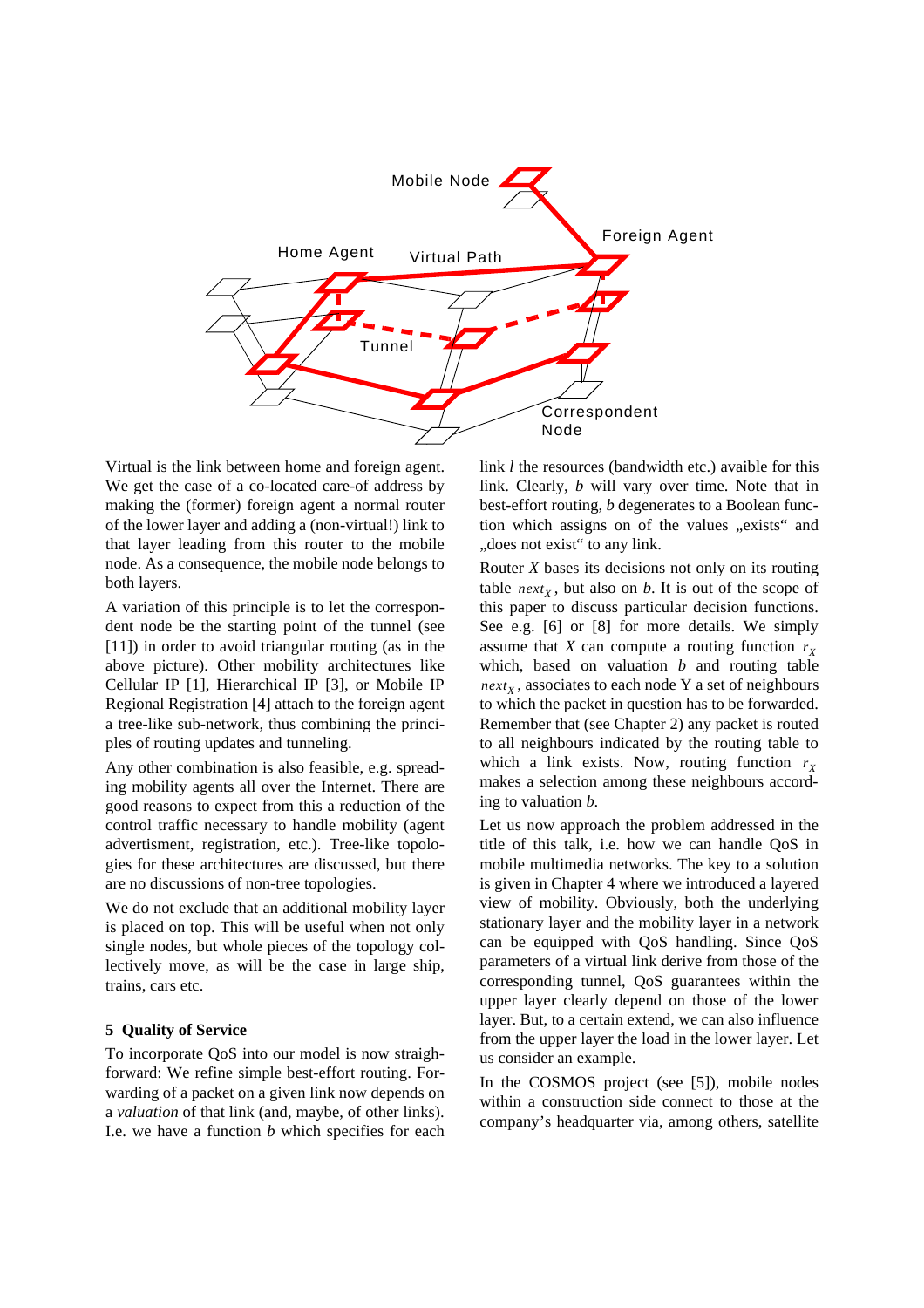

Virtual is the link between home and foreign agent. We get the case of a co-located care-of address by making the (former) foreign agent a normal router of the lower layer and adding a (non-virtual!) link to that layer leading from this router to the mobile node. As a consequence, the mobile node belongs to both layers.

A variation of this principle is to let the correspondent node be the starting point of the tunnel (see [11]) in order to avoid triangular routing (as in the above picture). Other mobility architectures like Cellular IP [1], Hierarchical IP [3], or Mobile IP Regional Registration [4] attach to the foreign agent a tree-like sub-network, thus combining the principles of routing updates and tunneling.

Any other combination is also feasible, e.g. spreading mobility agents all over the Internet. There are good reasons to expect from this a reduction of the control traffic necessary to handle mobility (agent advertisment, registration, etc.). Tree-like topologies for these architectures are discussed, but there are no discussions of non-tree topologies.

We do not exclude that an additional mobility layer is placed on top. This will be useful when not only single nodes, but whole pieces of the topology collectively move, as will be the case in large ship, trains, cars etc.

#### **5 Quality of Service**

To incorporate QoS into our model is now straighforward: We refine simple best-effort routing. Forwarding of a packet on a given link now depends on a *valuation* of that link (and, maybe, of other links). I.e. we have a function *b* which specifies for each link *l* the resources (bandwidth etc.) avaible for this link. Clearly, *b* will vary over time. Note that in best-effort routing, *b* degenerates to a Boolean function which assigns on of the values "exists" and ., does not exist" to any link.

Router *X* bases its decisions not only on its routing table  $\textit{next}_X$ , but also on *b*. It is out of the scope of this paper to discuss particular decision functions. See e.g. [6] or [8] for more details. We simply assume that *X* can compute a routing function *rX* which, based on valuation *b* and routing table , associates to each node Y a set of neighbours *next<sup>X</sup>* to which the packet in question has to be forwarded. Remember that (see Chapter 2) any packet is routed to all neighbours indicated by the routing table to which a link exists. Now, routing function  $r_X$ makes a selection among these neighbours according to valuation *b*.

Let us now approach the problem addressed in the title of this talk, i.e. how we can handle QoS in mobile multimedia networks. The key to a solution is given in Chapter 4 where we introduced a layered view of mobility. Obviously, both the underlying stationary layer and the mobility layer in a network can be equipped with QoS handling. Since QoS parameters of a virtual link derive from those of the corresponding tunnel, QoS guarantees within the upper layer clearly depend on those of the lower layer. But, to a certain extend, we can also influence from the upper layer the load in the lower layer. Let us consider an example.

In the COSMOS project (see [5]), mobile nodes within a construction side connect to those at the company's headquarter via, among others, satellite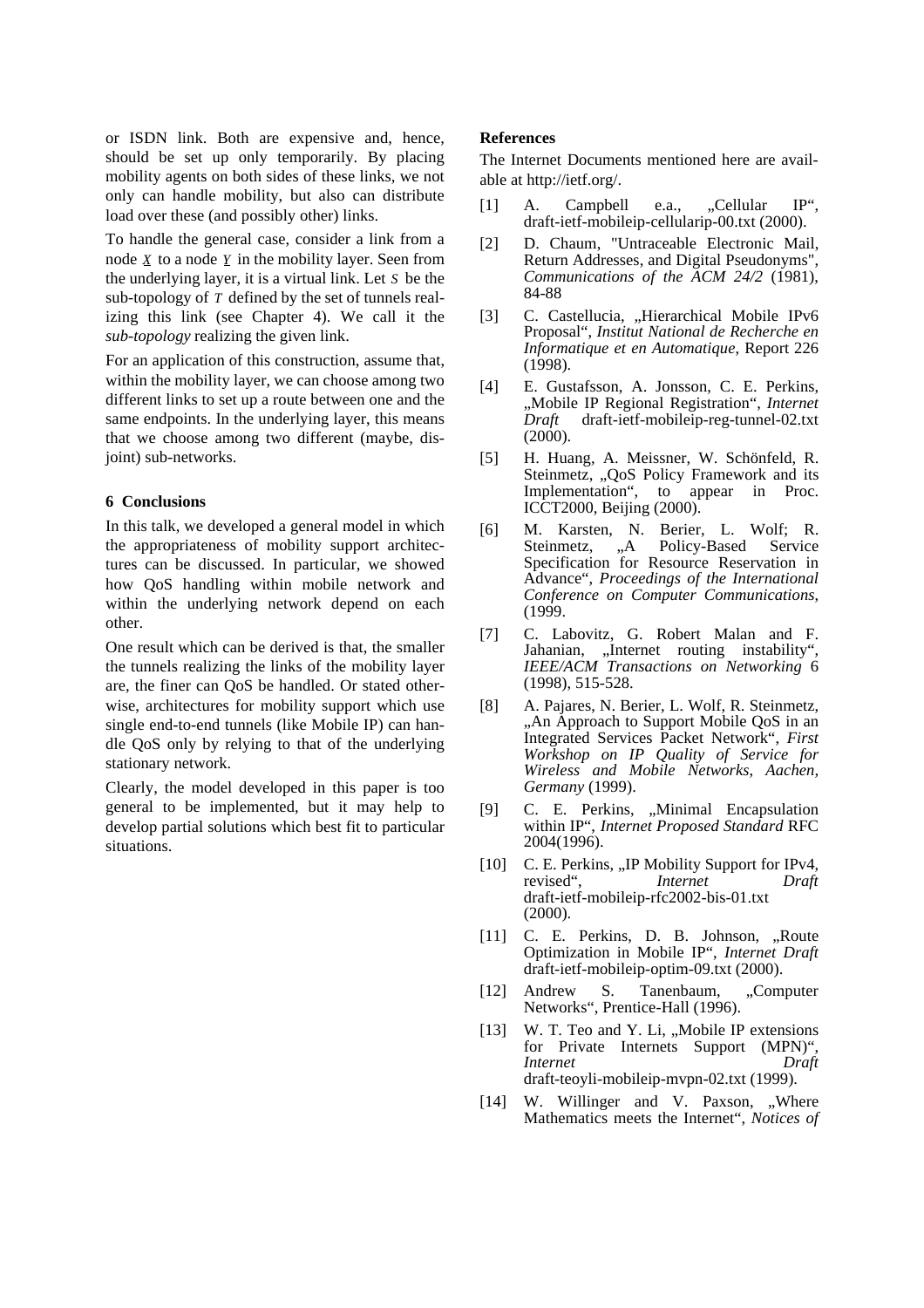or ISDN link. Both are expensive and, hence, should be set up only temporarily. By placing mobility agents on both sides of these links, we not only can handle mobility, but also can distribute load over these (and possibly other) links.

To handle the general case, consider a link from a node  $\underline{X}$  to a node  $\underline{Y}$  in the mobility layer. Seen from the underlying layer, it is a virtual link. Let S be the sub-topology of  $T$  defined by the set of tunnels realizing this link (see Chapter 4). We call it the *sub-topology* realizing the given link.

For an application of this construction, assume that, within the mobility layer, we can choose among two different links to set up a route between one and the same endpoints. In the underlying layer, this means that we choose among two different (maybe, disjoint) sub-networks.

## **6 Conclusions**

In this talk, we developed a general model in which the appropriateness of mobility support architectures can be discussed. In particular, we showed how QoS handling within mobile network and within the underlying network depend on each other.

One result which can be derived is that, the smaller the tunnels realizing the links of the mobility layer are, the finer can QoS be handled. Or stated otherwise, architectures for mobility support which use single end-to-end tunnels (like Mobile IP) can handle QoS only by relying to that of the underlying stationary network.

Clearly, the model developed in this paper is too general to be implemented, but it may help to develop partial solutions which best fit to particular situations.

### **References**

The Internet Documents mentioned here are available at http://ietf.org/.

- [1] A. Campbell e.a., "Cellular IP", draft-ietf-mobileip-cellularip-00.txt (2000).
- [2] D. Chaum, "Untraceable Electronic Mail, Return Addresses, and Digital Pseudonyms", *Communications of the ACM 24/2* (1981), 84-88
- [3] C. Castellucia, "Hierarchical Mobile IPv6 Proposal", *Institut National de Recherche en Informatique et en Automatique*, Report 226 (1998).
- [4] E. Gustafsson, A. Jonsson, C. E. Perkins, "Mobile IP Regional Registration", *Internet Draft* draft-ietf-mobileip-reg-tunnel-02.txt  $(2000)$ .
- [5] H. Huang, A. Meissner, W. Schönfeld, R. Steinmetz, "QoS Policy Framework and its Implementation", to appear in Proc. ICCT2000, Beijing (2000).
- [6] M. Karsten, N. Berier, L. Wolf; R. Steinmetz, "A Policy-Based Service Specification for Resource Reservation in Advance", *Proceedings of the International Conference on Computer Communications*, (1999.
- [7] C. Labovitz, G. Robert Malan and F. Jahanian, "Internet routing instability", *IEEE/ACM Transactions on Networking* 6 (1998), 515-528.
- [8] A. Pajares, N. Berier, L. Wolf, R. Steinmetz, "An Approach to Support Mobile OoS in an Integrated Services Packet Network", *First Workshop on IP Quality of Service for Wireless and Mobile Networks*, *Aachen, Germany* (1999).
- [9] C. E. Perkins, "Minimal Encapsulation within IP", *Internet Proposed Standard* RFC 2004(1996).
- [10] C. E. Perkins, "IP Mobility Support for IPv4, revised", *Internet Draft* draft-ietf-mobileip-rfc2002-bis-01.txt (2000).
- [11] C. E. Perkins, D. B. Johnson, "Route Optimization in Mobile IP", *Internet Draft* draft-ietf-mobileip-optim-09.txt (2000).
- [12] Andrew S. Tanenbaum, "Computer Networks", Prentice-Hall (1996).
- [13] W. T. Teo and Y. Li, "Mobile IP extensions for Private Internets Support (MPN)", *Internet Draft* draft-teoyli-mobileip-mvpn-02.txt (1999).
- [14] W. Willinger and V. Paxson, "Where Mathematics meets the Internet", *Notices of*